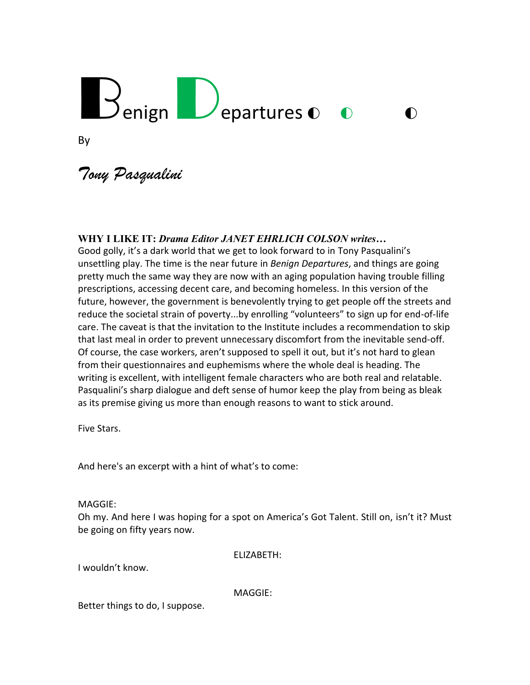# Benign Departures o o

By

*Tony Pasqualini*

#### **WHY I LIKE IT:** *Drama Editor JANET EHRLICH COLSON writes…*

Good golly, it's a dark world that we get to look forward to in Tony Pasqualini's unsettling play. The time is the near future in *Benign Departures*, and things are going pretty much the same way they are now with an aging population having trouble filling prescriptions, accessing decent care, and becoming homeless. In this version of the future, however, the government is benevolently trying to get people off the streets and reduce the societal strain of poverty...by enrolling "volunteers" to sign up for end-of-life care. The caveat is that the invitation to the Institute includes a recommendation to skip that last meal in order to prevent unnecessary discomfort from the inevitable send-off. Of course, the case workers, aren't supposed to spell it out, but it's not hard to glean from their questionnaires and euphemisms where the whole deal is heading. The writing is excellent, with intelligent female characters who are both real and relatable. Pasqualini's sharp dialogue and deft sense of humor keep the play from being as bleak as its premise giving us more than enough reasons to want to stick around.

Five Stars.

And here's an excerpt with a hint of what's to come:

MAGGIE:

Oh my. And here I was hoping for a spot on America's Got Talent. Still on, isn't it? Must be going on fifty years now.

ELIZABETH:

I wouldn't know.

MAGGIE:

Better things to do, I suppose.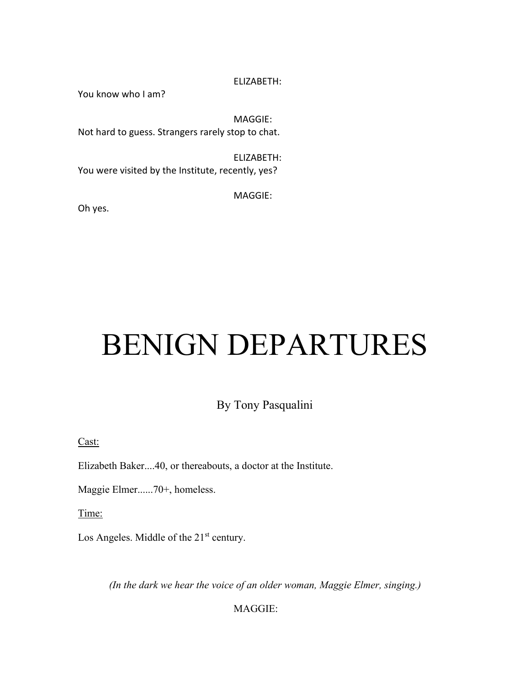You know who I am?

MAGGIE: Not hard to guess. Strangers rarely stop to chat.

ELIZABETH: You were visited by the Institute, recently, yes?

MAGGIE:

Oh yes.

## BENIGN DEPARTURES

#### By Tony Pasqualini

Cast:

Elizabeth Baker....40, or thereabouts, a doctor at the Institute.

Maggie Elmer......70+, homeless.

Time:

Los Angeles. Middle of the 21<sup>st</sup> century.

*(In the dark we hear the voice of an older woman, Maggie Elmer, singing.)*

MAGGIE: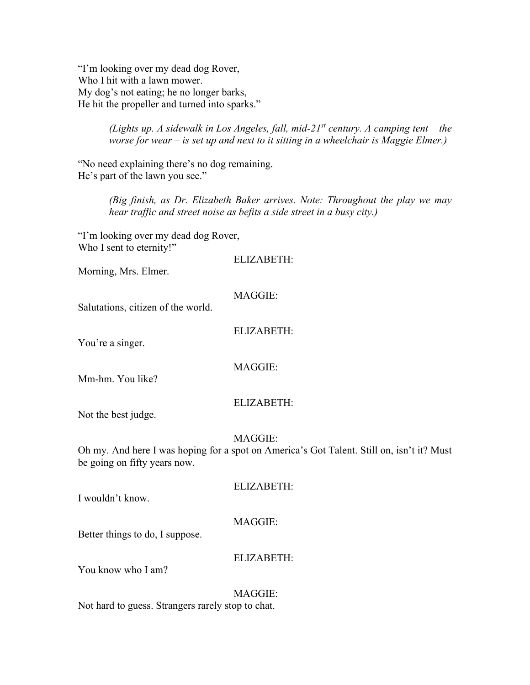"I'm looking over my dead dog Rover, Who I hit with a lawn mower. My dog's not eating; he no longer barks, He hit the propeller and turned into sparks."

> *(Lights up. A sidewalk in Los Angeles, fall, mid-21<sup>st</sup> century. A camping tent – the worse for wear – is set up and next to it sitting in a wheelchair is Maggie Elmer.)*

"No need explaining there's no dog remaining. He's part of the lawn you see."

> *(Big finish, as Dr. Elizabeth Baker arrives. Note: Throughout the play we may hear traffic and street noise as befits a side street in a busy city.)*

"I'm looking over my dead dog Rover, Who I sent to eternity!"

ELIZABETH:

Morning, Mrs. Elmer.

| MAGGIE: |  |
|---------|--|
|---------|--|

Salutations, citizen of the world.

ELIZABETH:

You're a singer.

MAGGIE:

Mm-hm. You like?

#### ELIZABETH:

Not the best judge.

#### MAGGIE:

Oh my. And here I was hoping for a spot on America's Got Talent. Still on, isn't it? Must be going on fifty years now.

ELIZABETH:

I wouldn't know.

### MAGGIE:

Better things to do, I suppose.

#### ELIZABETH:

You know who I am?

MAGGIE: Not hard to guess. Strangers rarely stop to chat.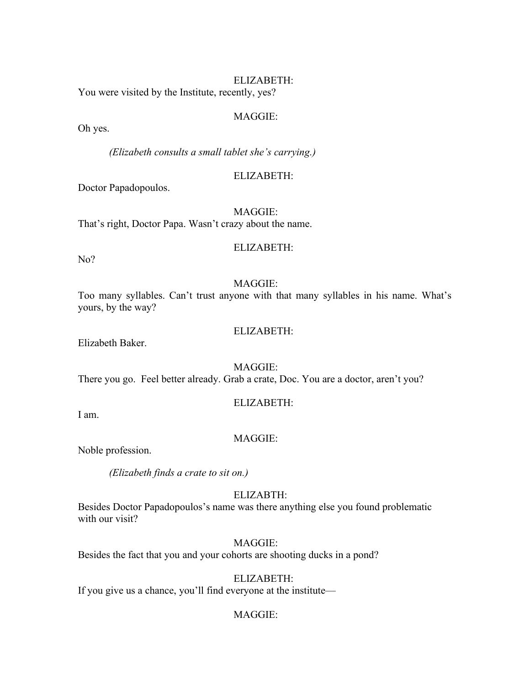You were visited by the Institute, recently, yes?

#### MAGGIE:

Oh yes.

*(Elizabeth consults a small tablet she's carrying.)*

#### ELIZABETH:

Doctor Papadopoulos.

MAGGIE: That's right, Doctor Papa. Wasn't crazy about the name.

#### ELIZABETH:

No?

#### MAGGIE:

Too many syllables. Can't trust anyone with that many syllables in his name. What's yours, by the way?

#### ELIZABETH:

Elizabeth Baker.

#### MAGGIE:

There you go. Feel better already. Grab a crate, Doc. You are a doctor, aren't you?

#### ELIZABETH:

I am.

#### MAGGIE:

Noble profession.

*(Elizabeth finds a crate to sit on.)*

#### ELIZABTH:

Besides Doctor Papadopoulos's name was there anything else you found problematic with our visit?

#### MAGGIE:

Besides the fact that you and your cohorts are shooting ducks in a pond?

#### ELIZABETH:

If you give us a chance, you'll find everyone at the institute—

#### MAGGIE: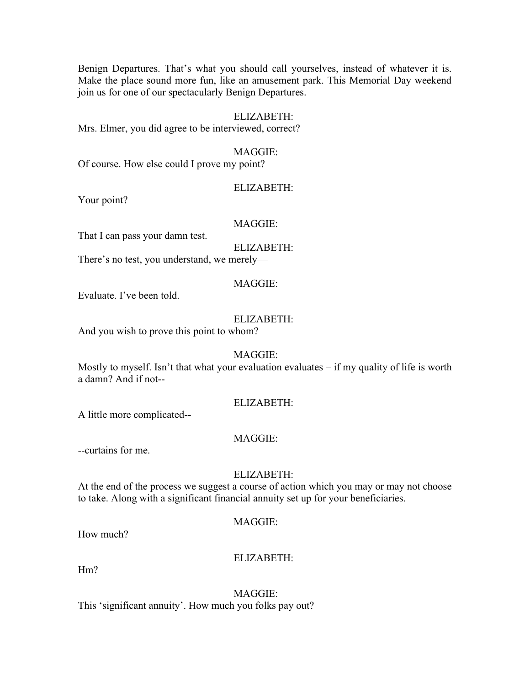Benign Departures. That's what you should call yourselves, instead of whatever it is. Make the place sound more fun, like an amusement park. This Memorial Day weekend join us for one of our spectacularly Benign Departures.

#### ELIZABETH:

Mrs. Elmer, you did agree to be interviewed, correct?

#### MAGGIE:

Of course. How else could I prove my point?

#### ELIZABETH:

Your point?

#### MAGGIE:

That I can pass your damn test.

ELIZABETH:

There's no test, you understand, we merely—

#### MAGGIE:

Evaluate. I've been told.

#### ELIZABETH:

And you wish to prove this point to whom?

#### MAGGIE:

Mostly to myself. Isn't that what your evaluation evaluates – if my quality of life is worth a damn? And if not--

#### ELIZABETH:

A little more complicated--

#### MAGGIE:

--curtains for me.

#### ELIZABETH:

At the end of the process we suggest a course of action which you may or may not choose to take. Along with a significant financial annuity set up for your beneficiaries.

#### MAGGIE:

How much?

#### ELIZABETH:

Hm?

MAGGIE: This 'significant annuity'. How much you folks pay out?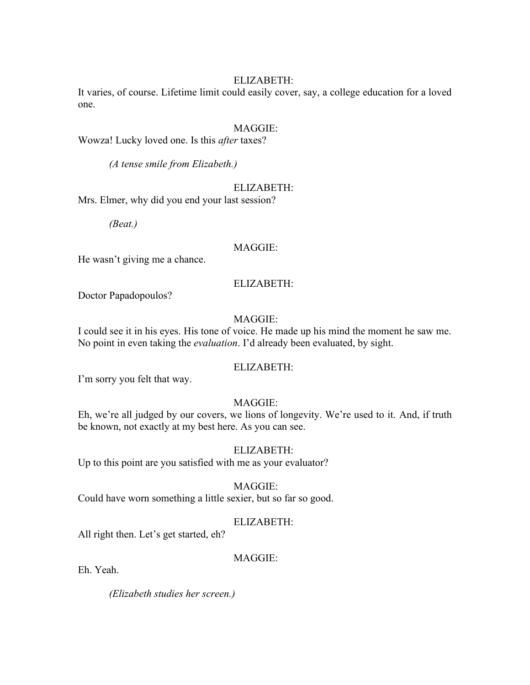It varies, of course. Lifetime limit could easily cover, say, a college education for a loved one.

#### MAGGIE:

Wowza! Lucky loved one. Is this *after* taxes?

*(A tense smile from Elizabeth.)*

#### ELIZABETH:

Mrs. Elmer, why did you end your last session?

*(Beat.)*

#### MAGGIE:

He wasn't giving me a chance.

#### ELIZABETH:

Doctor Papadopoulos?

#### MAGGIE:

I could see it in his eyes. His tone of voice. He made up his mind the moment he saw me. No point in even taking the *evaluation*. I'd already been evaluated, by sight.

#### ELIZABETH:

I'm sorry you felt that way.

#### MAGGIE:

Eh, we're all judged by our covers, we lions of longevity. We're used to it. And, if truth be known, not exactly at my best here. As you can see.

#### ELIZABETH:

Up to this point are you satisfied with me as your evaluator?

#### MAGGIE:

Could have worn something a little sexier, but so far so good.

#### ELIZABETH:

All right then. Let's get started, eh?

#### MAGGIE:

Eh. Yeah.

*(Elizabeth studies her screen.)*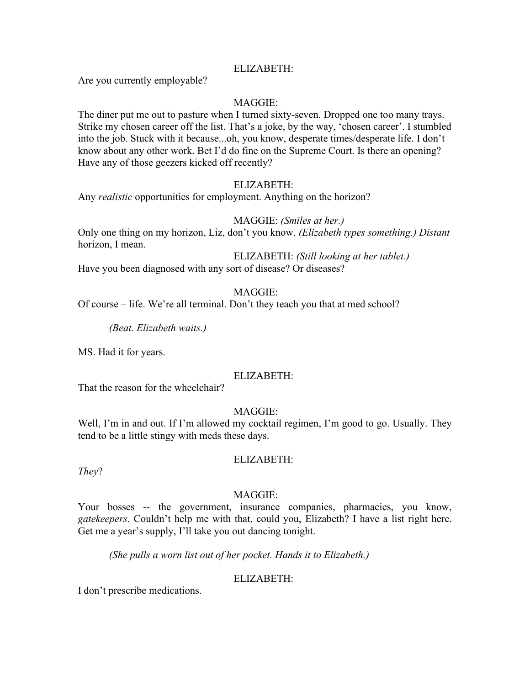Are you currently employable?

#### MAGGIE:

The diner put me out to pasture when I turned sixty-seven. Dropped one too many trays. Strike my chosen career off the list. That's a joke, by the way, 'chosen career'. I stumbled into the job. Stuck with it because...oh, you know, desperate times/desperate life. I don't know about any other work. Bet I'd do fine on the Supreme Court. Is there an opening? Have any of those geezers kicked off recently?

#### ELIZABETH:

Any *realistic* opportunities for employment. Anything on the horizon?

#### MAGGIE: *(Smiles at her.)*

Only one thing on my horizon, Liz, don't you know. *(Elizabeth types something.) Distant* horizon, I mean.

ELIZABETH: *(Still looking at her tablet.)* Have you been diagnosed with any sort of disease? Or diseases?

#### MAGGIE:

Of course – life. We're all terminal. Don't they teach you that at med school?

*(Beat. Elizabeth waits.)*

MS. Had it for years.

#### ELIZABETH:

That the reason for the wheelchair?

#### MAGGIE:

Well, I'm in and out. If I'm allowed my cocktail regimen, I'm good to go. Usually. They tend to be a little stingy with meds these days.

#### ELIZABETH:

*They*?

#### MAGGIE:

Your bosses -- the government, insurance companies, pharmacies, you know, *gatekeepers*. Couldn't help me with that, could you, Elizabeth? I have a list right here. Get me a year's supply, I'll take you out dancing tonight.

*(She pulls a worn list out of her pocket. Hands it to Elizabeth.)*

#### ELIZABETH:

I don't prescribe medications.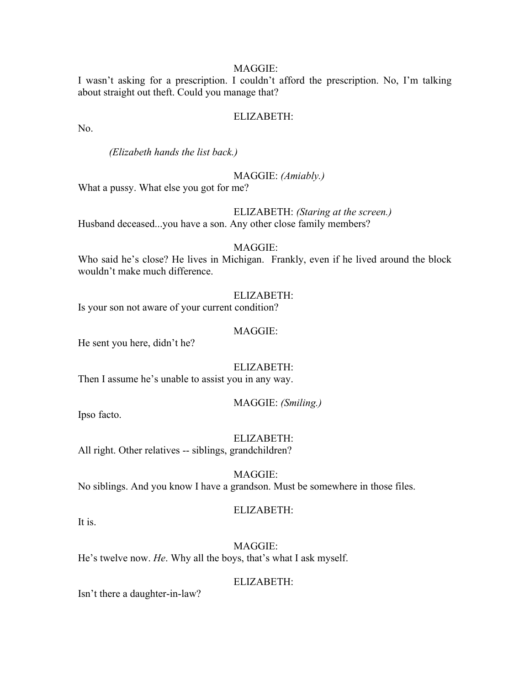I wasn't asking for a prescription. I couldn't afford the prescription. No, I'm talking about straight out theft. Could you manage that?

#### ELIZABETH:

No.

*(Elizabeth hands the list back.)*

MAGGIE: *(Amiably.)*

What a pussy. What else you got for me?

ELIZABETH: *(Staring at the screen.)* Husband deceased...you have a son. Any other close family members?

#### MAGGIE:

Who said he's close? He lives in Michigan. Frankly, even if he lived around the block wouldn't make much difference.

#### ELIZABETH:

Is your son not aware of your current condition?

#### MAGGIE:

He sent you here, didn't he?

ELIZABETH:

Then I assume he's unable to assist you in any way.

#### MAGGIE: *(Smiling.)*

Ipso facto.

ELIZABETH:

All right. Other relatives -- siblings, grandchildren?

#### MAGGIE:

No siblings. And you know I have a grandson. Must be somewhere in those files.

#### ELIZABETH:

It is.

MAGGIE: He's twelve now. *He*. Why all the boys, that's what I ask myself.

#### ELIZABETH:

Isn't there a daughter-in-law?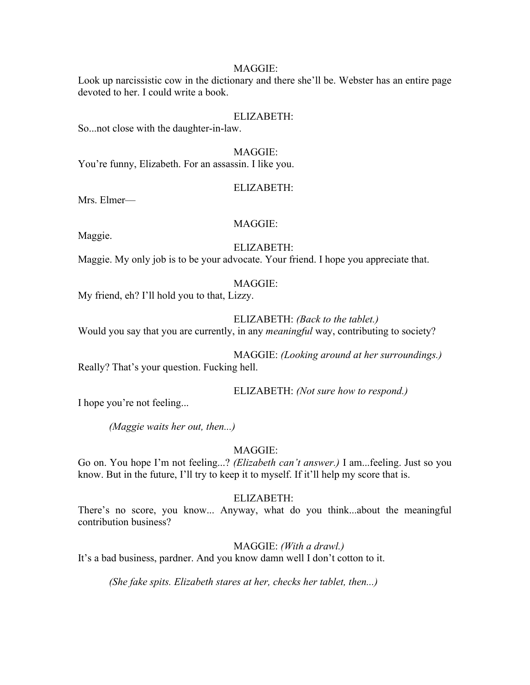Look up narcissistic cow in the dictionary and there she'll be. Webster has an entire page devoted to her. I could write a book.

#### ELIZABETH:

So...not close with the daughter-in-law.

MAGGIE: You're funny, Elizabeth. For an assassin. I like you.

#### ELIZABETH:

Mrs. Elmer—

#### MAGGIE:

Maggie.

#### ELIZABETH:

Maggie. My only job is to be your advocate. Your friend. I hope you appreciate that.

#### MAGGIE:

My friend, eh? I'll hold you to that, Lizzy.

#### ELIZABETH: *(Back to the tablet.)*

Would you say that you are currently, in any *meaningful* way, contributing to society?

MAGGIE: *(Looking around at her surroundings.)* Really? That's your question. Fucking hell.

ELIZABETH: *(Not sure how to respond.)*

I hope you're not feeling...

*(Maggie waits her out, then...)*

MAGGIE:

Go on. You hope I'm not feeling...? *(Elizabeth can't answer.)* I am...feeling. Just so you know. But in the future, I'll try to keep it to myself. If it'll help my score that is.

#### ELIZABETH:

There's no score, you know... Anyway, what do you think...about the meaningful contribution business?

MAGGIE: *(With a drawl.)*

It's a bad business, pardner. And you know damn well I don't cotton to it.

*(She fake spits. Elizabeth stares at her, checks her tablet, then...)*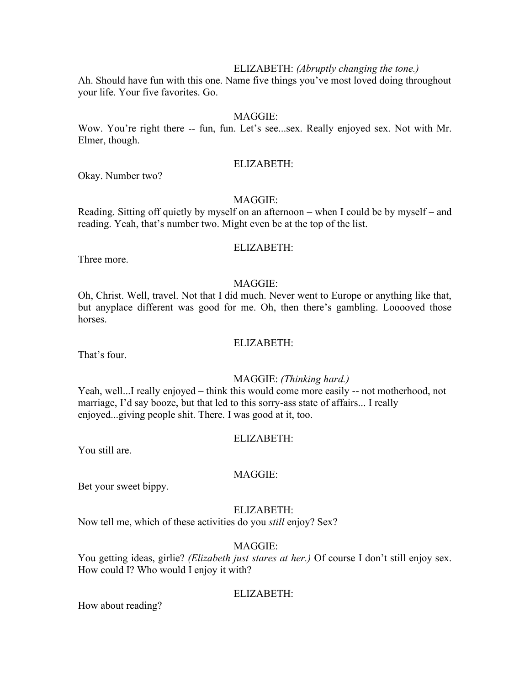#### ELIZABETH: *(Abruptly changing the tone.)*

Ah. Should have fun with this one. Name five things you've most loved doing throughout your life. Your five favorites. Go.

#### MAGGIE:

Wow. You're right there -- fun, fun. Let's see...sex. Really enjoyed sex. Not with Mr. Elmer, though.

#### ELIZABETH:

Okay. Number two?

#### MAGGIE:

Reading. Sitting off quietly by myself on an afternoon – when I could be by myself – and reading. Yeah, that's number two. Might even be at the top of the list.

#### ELIZABETH:

Three more.

#### MAGGIE:

Oh, Christ. Well, travel. Not that I did much. Never went to Europe or anything like that, but anyplace different was good for me. Oh, then there's gambling. Looooved those horses.

#### ELIZABETH:

That's four.

#### MAGGIE: *(Thinking hard.)*

Yeah, well...I really enjoyed – think this would come more easily -- not motherhood, not marriage, I'd say booze, but that led to this sorry-ass state of affairs... I really enjoyed...giving people shit. There. I was good at it, too.

#### ELIZABETH:

You still are.

#### MAGGIE:

Bet your sweet bippy.

#### ELIZABETH:

Now tell me, which of these activities do you *still* enjoy? Sex?

#### MAGGIE:

You getting ideas, girlie? *(Elizabeth just stares at her.)* Of course I don't still enjoy sex. How could I? Who would I enjoy it with?

#### ELIZABETH:

How about reading?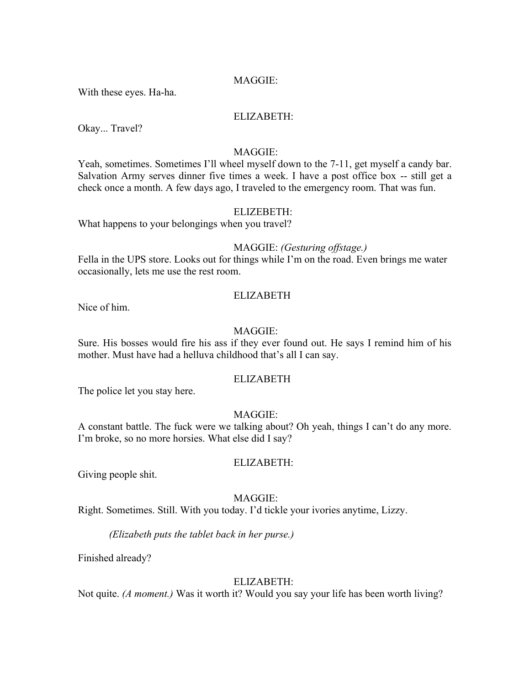With these eyes. Ha-ha.

#### ELIZABETH:

Okay... Travel?

#### MAGGIE:

Yeah, sometimes. Sometimes I'll wheel myself down to the 7-11, get myself a candy bar. Salvation Army serves dinner five times a week. I have a post office box -- still get a check once a month. A few days ago, I traveled to the emergency room. That was fun.

#### ELIZEBETH:

What happens to your belongings when you travel?

#### MAGGIE: *(Gesturing offstage.)*

Fella in the UPS store. Looks out for things while I'm on the road. Even brings me water occasionally, lets me use the rest room.

#### ELIZABETH

Nice of him.

#### MAGGIE:

Sure. His bosses would fire his ass if they ever found out. He says I remind him of his mother. Must have had a helluva childhood that's all I can say.

#### ELIZABETH

The police let you stay here.

#### MAGGIE:

A constant battle. The fuck were we talking about? Oh yeah, things I can't do any more. I'm broke, so no more horsies. What else did I say?

#### ELIZABETH:

Giving people shit.

#### MAGGIE:

Right. Sometimes. Still. With you today. I'd tickle your ivories anytime, Lizzy.

*(Elizabeth puts the tablet back in her purse.)*

Finished already?

#### ELIZABETH:

Not quite. *(A moment.)* Was it worth it? Would you say your life has been worth living?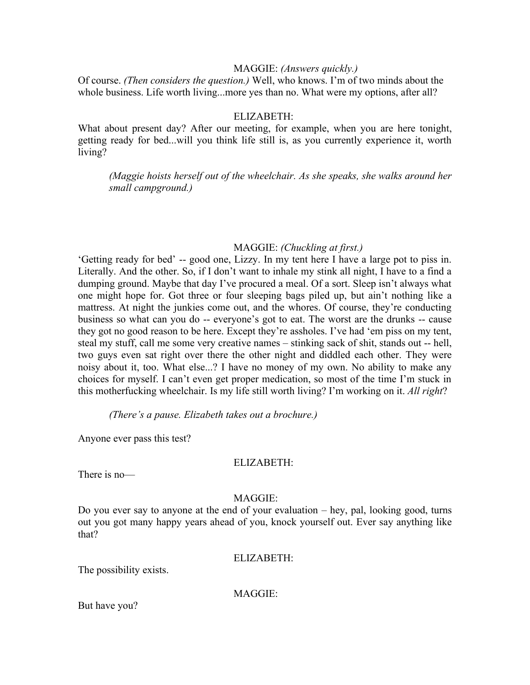#### MAGGIE: *(Answers quickly.)*

Of course. *(Then considers the question.)* Well, who knows. I'm of two minds about the whole business. Life worth living...more yes than no. What were my options, after all?

#### ELIZABETH:

What about present day? After our meeting, for example, when you are here tonight, getting ready for bed...will you think life still is, as you currently experience it, worth living?

*(Maggie hoists herself out of the wheelchair. As she speaks, she walks around her small campground.)*

#### MAGGIE: *(Chuckling at first.)*

'Getting ready for bed' -- good one, Lizzy. In my tent here I have a large pot to piss in. Literally. And the other. So, if I don't want to inhale my stink all night, I have to a find a dumping ground. Maybe that day I've procured a meal. Of a sort. Sleep isn't always what one might hope for. Got three or four sleeping bags piled up, but ain't nothing like a mattress. At night the junkies come out, and the whores. Of course, they're conducting business so what can you do -- everyone's got to eat. The worst are the drunks -- cause they got no good reason to be here. Except they're assholes. I've had 'em piss on my tent, steal my stuff, call me some very creative names – stinking sack of shit, stands out -- hell, two guys even sat right over there the other night and diddled each other. They were noisy about it, too. What else...? I have no money of my own. No ability to make any choices for myself. I can't even get proper medication, so most of the time I'm stuck in this motherfucking wheelchair. Is my life still worth living? I'm working on it. *All right*?

*(There's a pause. Elizabeth takes out a brochure.)*

Anyone ever pass this test?

#### ELIZABETH:

There is no—

#### MAGGIE:

Do you ever say to anyone at the end of your evaluation – hey, pal, looking good, turns out you got many happy years ahead of you, knock yourself out. Ever say anything like that?

#### ELIZABETH:

The possibility exists.

MAGGIE:

But have you?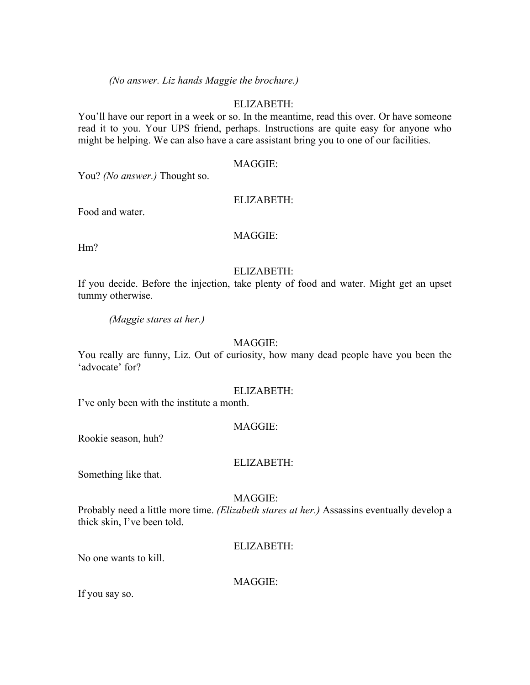*(No answer. Liz hands Maggie the brochure.)*

#### ELIZABETH:

You'll have our report in a week or so. In the meantime, read this over. Or have someone read it to you. Your UPS friend, perhaps. Instructions are quite easy for anyone who might be helping. We can also have a care assistant bring you to one of our facilities.

#### MAGGIE:

You? *(No answer.)* Thought so.

#### ELIZABETH:

Food and water.

#### MAGGIE:

Hm?

#### ELIZABETH:

If you decide. Before the injection, take plenty of food and water. Might get an upset tummy otherwise.

*(Maggie stares at her.)*

#### MAGGIE:

You really are funny, Liz. Out of curiosity, how many dead people have you been the 'advocate' for?

#### ELIZABETH:

I've only been with the institute a month.

#### MAGGIE:

Rookie season, huh?

#### ELIZABETH:

Something like that.

#### MAGGIE:

Probably need a little more time. *(Elizabeth stares at her.)* Assassins eventually develop a thick skin, I've been told.

#### ELIZABETH:

No one wants to kill.

MAGGIE:

If you say so.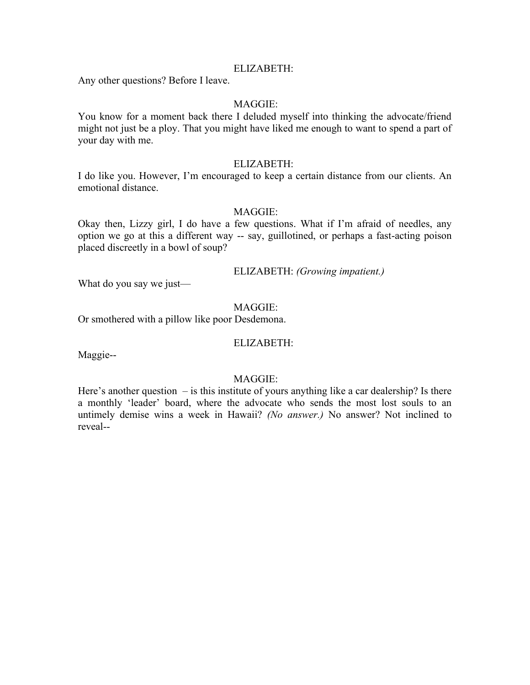Any other questions? Before I leave.

#### MAGGIE:

You know for a moment back there I deluded myself into thinking the advocate/friend might not just be a ploy. That you might have liked me enough to want to spend a part of your day with me.

#### ELIZABETH:

I do like you. However, I'm encouraged to keep a certain distance from our clients. An emotional distance.

#### MAGGIE:

Okay then, Lizzy girl, I do have a few questions. What if I'm afraid of needles, any option we go at this a different way -- say, guillotined, or perhaps a fast-acting poison placed discreetly in a bowl of soup?

#### ELIZABETH: *(Growing impatient.)*

What do you say we just—

#### MAGGIE:

Or smothered with a pillow like poor Desdemona.

#### ELIZABETH:

Maggie--

#### MAGGIE:

Here's another question  $-$  is this institute of yours anything like a car dealership? Is there a monthly 'leader' board, where the advocate who sends the most lost souls to an untimely demise wins a week in Hawaii? *(No answer.)* No answer? Not inclined to reveal--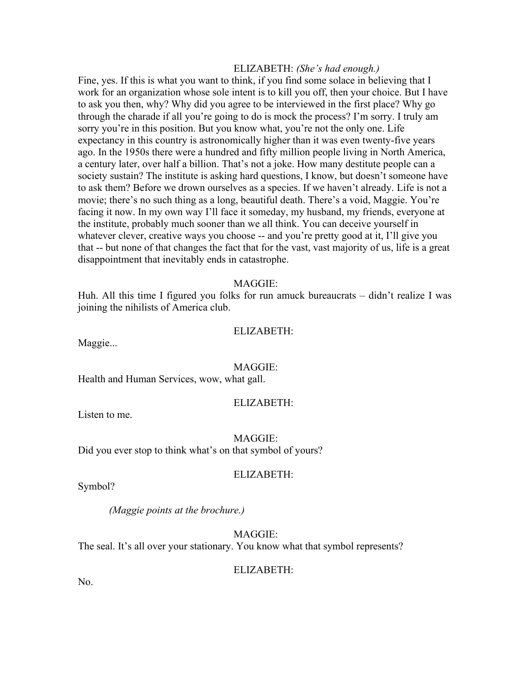#### ELIZABETH: *(She's had enough.)*

Fine, yes. If this is what you want to think, if you find some solace in believing that I work for an organization whose sole intent is to kill you off, then your choice. But I have to ask you then, why? Why did you agree to be interviewed in the first place? Why go through the charade if all you're going to do is mock the process? I'm sorry. I truly am sorry you're in this position. But you know what, you're not the only one. Life expectancy in this country is astronomically higher than it was even twenty-five years ago. In the 1950s there were a hundred and fifty million people living in North America, a century later, over half a billion. That's not a joke. How many destitute people can a society sustain? The institute is asking hard questions, I know, but doesn't someone have to ask them? Before we drown ourselves as a species. If we haven't already. Life is not a movie; there's no such thing as a long, beautiful death. There's a void, Maggie. You're facing it now. In my own way I'll face it someday, my husband, my friends, everyone at the institute, probably much sooner than we all think. You can deceive yourself in whatever clever, creative ways you choose -- and you're pretty good at it, I'll give you that -- but none of that changes the fact that for the vast, vast majority of us, life is a great disappointment that inevitably ends in catastrophe.

#### MAGGIE:

Huh. All this time I figured you folks for run amuck bureaucrats – didn't realize I was joining the nihilists of America club.

#### ELIZABETH:

Maggie...

#### MAGGIE:

Health and Human Services, wow, what gall.

#### ELIZABETH:

Listen to me.

MAGGIE:

Did you ever stop to think what's on that symbol of yours?

#### ELIZABETH:

Symbol?

*(Maggie points at the brochure.)*

MAGGIE: The seal. It's all over your stationary. You know what that symbol represents?

#### ELIZABETH:

No.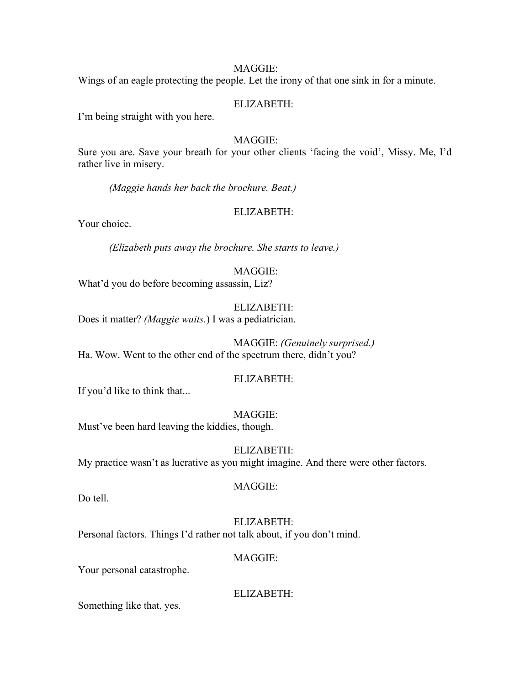Wings of an eagle protecting the people. Let the irony of that one sink in for a minute.

#### ELIZABETH:

I'm being straight with you here.

#### MAGGIE:

Sure you are. Save your breath for your other clients 'facing the void', Missy. Me, I'd rather live in misery.

*(Maggie hands her back the brochure. Beat.)*

#### ELIZABETH:

Your choice.

*(Elizabeth puts away the brochure. She starts to leave.)*

#### MAGGIE:

What'd you do before becoming assassin, Liz?

#### ELIZABETH:

Does it matter? *(Maggie waits.*) I was a pediatrician.

MAGGIE: *(Genuinely surprised.)* Ha. Wow. Went to the other end of the spectrum there, didn't you?

#### ELIZABETH:

If you'd like to think that...

#### MAGGIE:

Must've been hard leaving the kiddies, though.

ELIZABETH: My practice wasn't as lucrative as you might imagine. And there were other factors.

Do tell.

#### MAGGIE:

ELIZABETH:

Personal factors. Things I'd rather not talk about, if you don't mind.

#### MAGGIE:

Your personal catastrophe.

ELIZABETH:

Something like that, yes.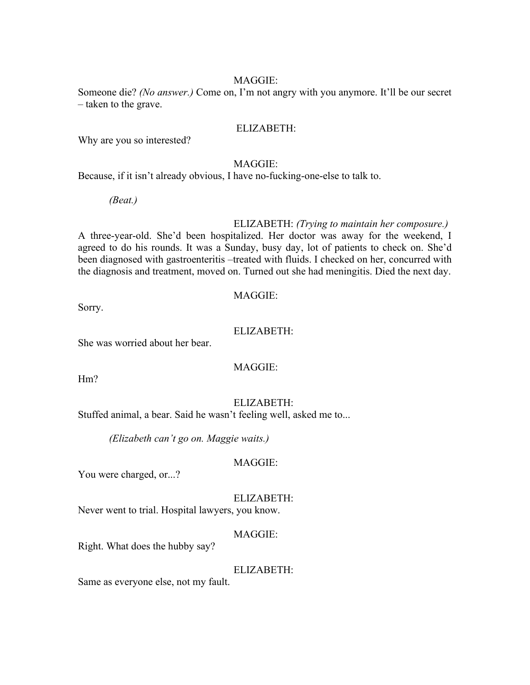Someone die? *(No answer.)* Come on, I'm not angry with you anymore. It'll be our secret – taken to the grave.

#### ELIZABETH:

Why are you so interested?

#### MAGGIE:

Because, if it isn't already obvious, I have no-fucking-one-else to talk to.

*(Beat.)*

#### ELIZABETH: *(Trying to maintain her composure.)*

A three-year-old. She'd been hospitalized. Her doctor was away for the weekend, I agreed to do his rounds. It was a Sunday, busy day, lot of patients to check on. She'd been diagnosed with gastroenteritis –treated with fluids. I checked on her, concurred with the diagnosis and treatment, moved on. Turned out she had meningitis. Died the next day.

#### MAGGIE:

#### ELIZABETH:

She was worried about her bear.

#### MAGGIE:

H<sub>m</sub>?

Sorry.

#### ELIZABETH:

Stuffed animal, a bear. Said he wasn't feeling well, asked me to...

*(Elizabeth can't go on. Maggie waits.)*

#### MAGGIE:

You were charged, or...?

#### ELIZABETH:

Never went to trial. Hospital lawyers, you know.

#### MAGGIE:

Right. What does the hubby say?

#### ELIZABETH:

Same as everyone else, not my fault.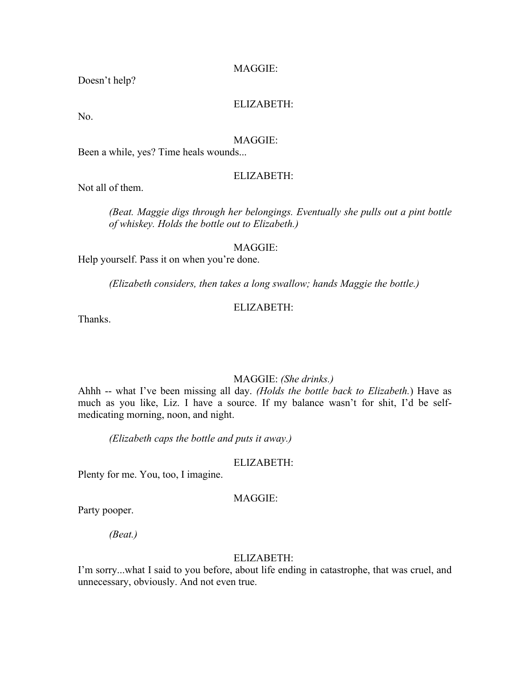Doesn't help?

#### ELIZABETH:

No.

#### MAGGIE:

Been a while, yes? Time heals wounds...

#### ELIZABETH:

Not all of them.

*(Beat. Maggie digs through her belongings. Eventually she pulls out a pint bottle of whiskey. Holds the bottle out to Elizabeth.)*

#### MAGGIE:

Help yourself. Pass it on when you're done.

*(Elizabeth considers, then takes a long swallow; hands Maggie the bottle.)*

#### ELIZABETH:

Thanks.

#### MAGGIE: *(She drinks.)*

Ahhh -- what I've been missing all day. *(Holds the bottle back to Elizabeth.*) Have as much as you like, Liz. I have a source. If my balance wasn't for shit, I'd be selfmedicating morning, noon, and night.

*(Elizabeth caps the bottle and puts it away.)*

#### ELIZABETH:

Plenty for me. You, too, I imagine.

#### MAGGIE:

Party pooper.

*(Beat.)*

#### ELIZABETH:

I'm sorry...what I said to you before, about life ending in catastrophe, that was cruel, and unnecessary, obviously. And not even true.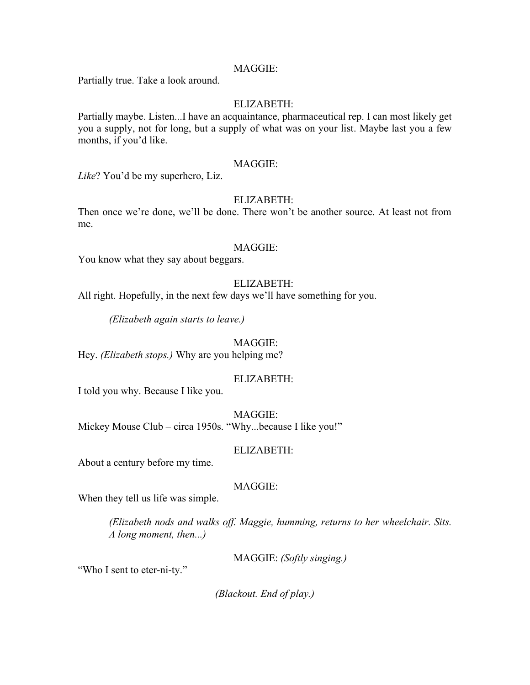Partially true. Take a look around.

#### ELIZABETH:

Partially maybe. Listen...I have an acquaintance, pharmaceutical rep. I can most likely get you a supply, not for long, but a supply of what was on your list. Maybe last you a few months, if you'd like.

#### MAGGIE:

*Like*? You'd be my superhero, Liz.

#### ELIZABETH:

Then once we're done, we'll be done. There won't be another source. At least not from me.

#### MAGGIE:

You know what they say about beggars.

#### ELIZABETH:

All right. Hopefully, in the next few days we'll have something for you.

*(Elizabeth again starts to leave.)*

#### MAGGIE:

Hey. *(Elizabeth stops.)* Why are you helping me?

#### ELIZABETH:

I told you why. Because I like you.

MAGGIE: Mickey Mouse Club – circa 1950s. "Why...because I like you!"

#### ELIZABETH:

About a century before my time.

#### MAGGIE:

When they tell us life was simple.

*(Elizabeth nods and walks off. Maggie, humming, returns to her wheelchair. Sits. A long moment, then...)*

MAGGIE: *(Softly singing.)*

"Who I sent to eter-ni-ty."

*(Blackout. End of play.)*